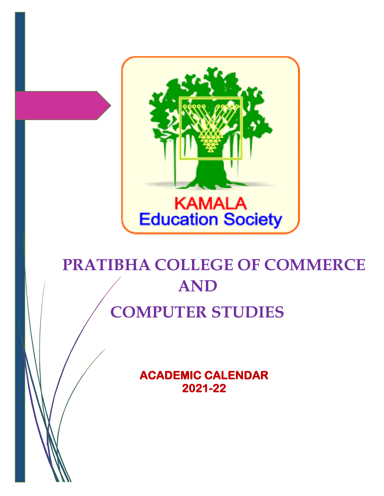

## **PRATIBHA COLLEGE OF COMMERCE AND COMPUTER STUDIES**

**ACADEMIC CALENDAR 2021-22**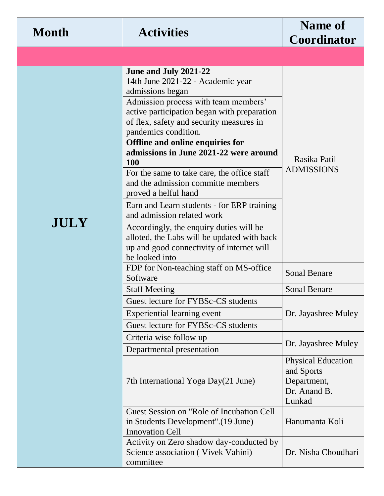| <b>Month</b> | <b>Activities</b>                                                                                                                                                                                                                                                                                                                                                                                                                           | <b>Name of</b><br><b>Coordinator</b>                                             |
|--------------|---------------------------------------------------------------------------------------------------------------------------------------------------------------------------------------------------------------------------------------------------------------------------------------------------------------------------------------------------------------------------------------------------------------------------------------------|----------------------------------------------------------------------------------|
|              |                                                                                                                                                                                                                                                                                                                                                                                                                                             |                                                                                  |
|              | June and July 2021-22<br>14th June 2021-22 - Academic year<br>admissions began<br>Admission process with team members'<br>active participation began with preparation<br>of flex, safety and security measures in<br>pandemics condition.<br>Offline and online enquiries for<br>admissions in June 2021-22 were around<br>100<br>For the same to take care, the office staff<br>and the admission committe members<br>proved a helful hand | Rasika Patil<br><b>ADMISSIONS</b>                                                |
| <b>JULY</b>  | Earn and Learn students - for ERP training<br>and admission related work<br>Accordingly, the enquiry duties will be<br>alloted, the Labs will be updated with back<br>up and good connectivity of internet will<br>be looked into                                                                                                                                                                                                           |                                                                                  |
|              | FDP for Non-teaching staff on MS-office<br>Software                                                                                                                                                                                                                                                                                                                                                                                         | <b>Sonal Benare</b>                                                              |
|              | <b>Staff Meeting</b>                                                                                                                                                                                                                                                                                                                                                                                                                        | <b>Sonal Benare</b>                                                              |
|              | Guest lecture for FYBSc-CS students<br>Experiential learning event<br>Guest lecture for FYBSc-CS students                                                                                                                                                                                                                                                                                                                                   | Dr. Jayashree Muley                                                              |
|              | Criteria wise follow up<br>Departmental presentation                                                                                                                                                                                                                                                                                                                                                                                        | Dr. Jayashree Muley                                                              |
|              | 7th International Yoga Day(21 June)                                                                                                                                                                                                                                                                                                                                                                                                         | <b>Physical Education</b><br>and Sports<br>Department,<br>Dr. Anand B.<br>Lunkad |
|              | Guest Session on "Role of Incubation Cell"<br>in Students Development".(19 June)<br><b>Innovation Cell</b>                                                                                                                                                                                                                                                                                                                                  | Hanumanta Koli                                                                   |
|              | Activity on Zero shadow day-conducted by<br>Science association (Vivek Vahini)<br>committee                                                                                                                                                                                                                                                                                                                                                 | Dr. Nisha Choudhari                                                              |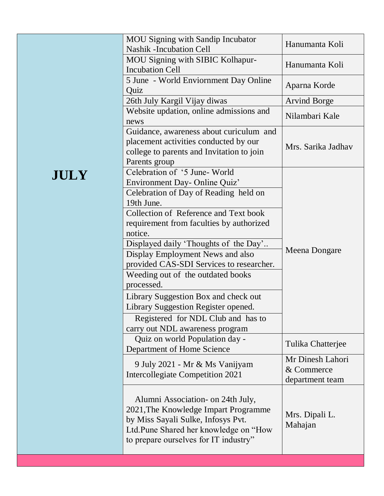|             | <b>MOU Signing with Sandip Incubator</b><br><b>Nashik -Incubation Cell</b>                                                                                                                                                                                                                                                                                                                                                                                                                                             | Hanumanta Koli                                    |
|-------------|------------------------------------------------------------------------------------------------------------------------------------------------------------------------------------------------------------------------------------------------------------------------------------------------------------------------------------------------------------------------------------------------------------------------------------------------------------------------------------------------------------------------|---------------------------------------------------|
|             | MOU Signing with SIBIC Kolhapur-<br><b>Incubation Cell</b>                                                                                                                                                                                                                                                                                                                                                                                                                                                             | Hanumanta Koli                                    |
|             | 5 June - World Enviornment Day Online<br>Quiz                                                                                                                                                                                                                                                                                                                                                                                                                                                                          | Aparna Korde                                      |
|             | 26th July Kargil Vijay diwas                                                                                                                                                                                                                                                                                                                                                                                                                                                                                           | <b>Arvind Borge</b>                               |
|             | Website updation, online admissions and<br>news                                                                                                                                                                                                                                                                                                                                                                                                                                                                        | Nilambari Kale                                    |
|             | Guidance, awareness about curiculum and<br>placement activities conducted by our<br>college to parents and Invitation to join<br>Parents group                                                                                                                                                                                                                                                                                                                                                                         | Mrs. Sarika Jadhav                                |
| <b>JULY</b> | Celebration of '5 June- World<br>Environment Day- Online Quiz'<br>Celebration of Day of Reading held on<br>19th June.<br>Collection of Reference and Text book<br>requirement from faculties by authorized<br>notice.<br>Displayed daily 'Thoughts of the Day'<br>Display Employment News and also<br>provided CAS-SDI Services to researcher.<br>Weeding out of the outdated books<br>processed.<br>Library Suggestion Box and check out<br>Library Suggestion Register opened.<br>Registered for NDL Club and has to | Meena Dongare                                     |
|             | carry out NDL awareness program<br>Quiz on world Population day -<br>Department of Home Science                                                                                                                                                                                                                                                                                                                                                                                                                        | Tulika Chatterjee                                 |
|             | 9 July 2021 - Mr & Ms Vanijyam<br>Intercollegiate Competition 2021                                                                                                                                                                                                                                                                                                                                                                                                                                                     | Mr Dinesh Lahori<br>& Commerce<br>department team |
|             | Alumni Association- on 24th July,<br>2021, The Knowledge Impart Programme<br>by Miss Sayali Sulke, Infosys Pvt.<br>Ltd.Pune Shared her knowledge on "How<br>to prepare ourselves for IT industry"                                                                                                                                                                                                                                                                                                                      | Mrs. Dipali L.<br>Mahajan                         |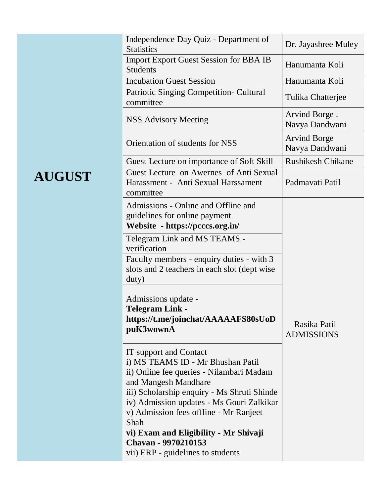|               | Independence Day Quiz - Department of<br><b>Statistics</b>                                                                                                                                                                                                                                                             | Dr. Jayashree Muley                   |
|---------------|------------------------------------------------------------------------------------------------------------------------------------------------------------------------------------------------------------------------------------------------------------------------------------------------------------------------|---------------------------------------|
|               | <b>Import Export Guest Session for BBA IB</b><br><b>Students</b>                                                                                                                                                                                                                                                       | Hanumanta Koli                        |
|               | <b>Incubation Guest Session</b>                                                                                                                                                                                                                                                                                        | Hanumanta Koli                        |
|               | Patriotic Singing Competition- Cultural<br>committee                                                                                                                                                                                                                                                                   | Tulika Chatterjee                     |
|               | <b>NSS Advisory Meeting</b>                                                                                                                                                                                                                                                                                            | Arvind Borge.<br>Navya Dandwani       |
|               | Orientation of students for NSS                                                                                                                                                                                                                                                                                        | <b>Arvind Borge</b><br>Navya Dandwani |
|               | Guest Lecture on importance of Soft Skill                                                                                                                                                                                                                                                                              | <b>Rushikesh Chikane</b>              |
| <b>AUGUST</b> | Guest Lecture on Awernes of Anti Sexual<br>Harassment - Anti Sexual Harssament<br>committee                                                                                                                                                                                                                            | Padmavati Patil                       |
|               | Admissions - Online and Offline and<br>guidelines for online payment<br>Website - https://pcccs.org.in/                                                                                                                                                                                                                |                                       |
|               | Telegram Link and MS TEAMS -<br>verification                                                                                                                                                                                                                                                                           |                                       |
|               | Faculty members - enquiry duties - with 3<br>slots and 2 teachers in each slot (dept wise<br>duty)                                                                                                                                                                                                                     |                                       |
|               | Admissions update -<br><b>Telegram Link -</b><br>https://t.me/joinchat/AAAAAFS80sUoD<br>puK3wownA                                                                                                                                                                                                                      | Rasika Patil<br><b>ADMISSIONS</b>     |
|               | IT support and Contact<br>i) MS TEAMS ID - Mr Bhushan Patil<br>ii) Online fee queries - Nilambari Madam<br>and Mangesh Mandhare<br>iii) Scholarship enquiry - Ms Shruti Shinde<br>iv) Admission updates - Ms Gouri Zalkikar<br>v) Admission fees offline - Mr Ranjeet<br>Shah<br>vi) Exam and Eligibility - Mr Shivaji |                                       |
|               | <b>Chavan - 9970210153</b><br>vii) ERP - guidelines to students                                                                                                                                                                                                                                                        |                                       |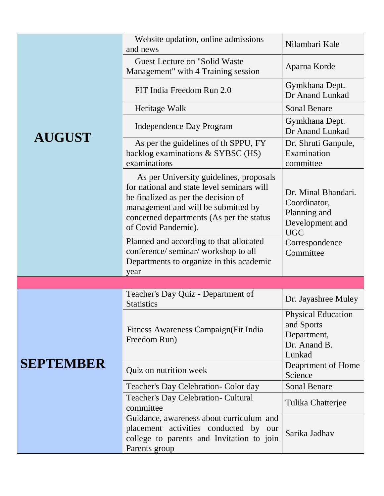|                  | Website updation, online admissions<br>and news                                                                                                                                                                                        | Nilambari Kale                                                                       |
|------------------|----------------------------------------------------------------------------------------------------------------------------------------------------------------------------------------------------------------------------------------|--------------------------------------------------------------------------------------|
|                  | <b>Guest Lecture on "Solid Waste"</b><br>Management" with 4 Training session                                                                                                                                                           | Aparna Korde                                                                         |
|                  | FIT India Freedom Run 2.0                                                                                                                                                                                                              | Gymkhana Dept.<br>Dr Anand Lunkad                                                    |
|                  | Heritage Walk                                                                                                                                                                                                                          | <b>Sonal Benare</b>                                                                  |
| <b>AUGUST</b>    | <b>Independence Day Program</b>                                                                                                                                                                                                        | Gymkhana Dept.<br>Dr Anand Lunkad                                                    |
|                  | As per the guidelines of th SPPU, FY<br>backlog examinations & SYBSC (HS)<br>examinations                                                                                                                                              | Dr. Shruti Ganpule,<br>Examination<br>committee                                      |
|                  | As per University guidelines, proposals<br>for national and state level seminars will<br>be finalized as per the decision of<br>management and will be submitted by<br>concerned departments (As per the status<br>of Covid Pandemic). | Dr. Minal Bhandari.<br>Coordinator,<br>Planning and<br>Development and<br><b>UGC</b> |
|                  | Planned and according to that allocated<br>conference/ seminar/ workshop to all<br>Departments to organize in this academic<br>year                                                                                                    | Correspondence<br>Committee                                                          |
|                  |                                                                                                                                                                                                                                        |                                                                                      |
|                  | Teacher's Day Quiz - Department of<br><b>Statistics</b>                                                                                                                                                                                | Dr. Jayashree Muley                                                                  |
|                  | Fitness Awareness Campaign (Fit India<br>Freedom Run)                                                                                                                                                                                  | <b>Physical Education</b><br>and Sports<br>Department,<br>Dr. Anand B.<br>Lunkad     |
| <b>SEPTEMBER</b> | Quiz on nutrition week                                                                                                                                                                                                                 | Deaprtment of Home<br>Science                                                        |
|                  | Teacher's Day Celebration- Color day                                                                                                                                                                                                   | Sonal Benare                                                                         |
|                  | Teacher's Day Celebration- Cultural<br>committee                                                                                                                                                                                       | Tulika Chatterjee                                                                    |
|                  | Guidance, awareness about curriculum and<br>placement activities conducted by our<br>college to parents and Invitation to join<br>Parents group                                                                                        | Sarika Jadhav                                                                        |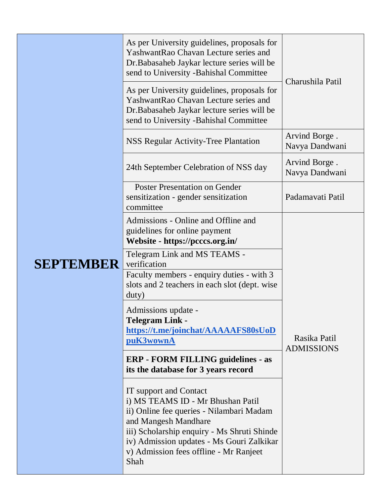|                  | As per University guidelines, proposals for<br>YashwantRao Chavan Lecture series and<br>Dr. Babasaheb Jaykar lecture series will be<br>send to University -Bahishal Committee                                                                                                 |                                   |
|------------------|-------------------------------------------------------------------------------------------------------------------------------------------------------------------------------------------------------------------------------------------------------------------------------|-----------------------------------|
|                  | As per University guidelines, proposals for<br>YashwantRao Chavan Lecture series and<br>Dr. Babasaheb Jaykar lecture series will be<br>send to University -Bahishal Committee                                                                                                 | Charushila Patil                  |
|                  | <b>NSS Regular Activity-Tree Plantation</b>                                                                                                                                                                                                                                   | Arvind Borge.<br>Navya Dandwani   |
|                  | 24th September Celebration of NSS day                                                                                                                                                                                                                                         | Arvind Borge.<br>Navya Dandwani   |
|                  | <b>Poster Presentation on Gender</b><br>sensitization - gender sensitization<br>committee                                                                                                                                                                                     | Padamavati Patil                  |
|                  | Admissions - Online and Offline and<br>guidelines for online payment<br>Website - https://pcccs.org.in/                                                                                                                                                                       |                                   |
| <b>SEPTEMBER</b> | Telegram Link and MS TEAMS -<br>verification                                                                                                                                                                                                                                  |                                   |
|                  | Faculty members - enquiry duties - with 3<br>slots and 2 teachers in each slot (dept. wise<br>duty)                                                                                                                                                                           |                                   |
|                  | Admissions update -<br><b>Telegram Link -</b><br>https://t.me/joinchat/AAAAAFS80sUoD<br>puK3wownA                                                                                                                                                                             | Rasika Patil<br><b>ADMISSIONS</b> |
|                  | <b>ERP - FORM FILLING guidelines - as</b><br>its the database for 3 years record                                                                                                                                                                                              |                                   |
|                  | IT support and Contact<br>i) MS TEAMS ID - Mr Bhushan Patil<br>ii) Online fee queries - Nilambari Madam<br>and Mangesh Mandhare<br>iii) Scholarship enquiry - Ms Shruti Shinde<br>iv) Admission updates - Ms Gouri Zalkikar<br>v) Admission fees offline - Mr Ranjeet<br>Shah |                                   |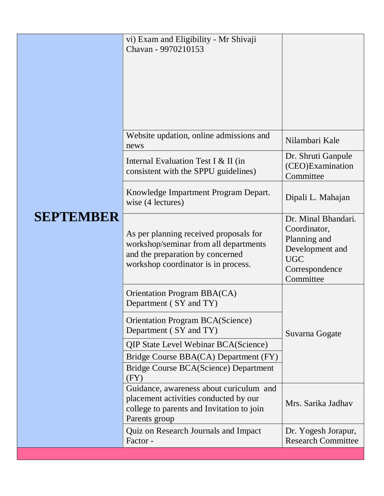|                  | vi) Exam and Eligibility - Mr Shivaji<br>Chavan - 9970210153                                                                                               |                                                                                                                     |
|------------------|------------------------------------------------------------------------------------------------------------------------------------------------------------|---------------------------------------------------------------------------------------------------------------------|
|                  | Website updation, online admissions and<br>news                                                                                                            | Nilambari Kale                                                                                                      |
|                  | Internal Evaluation Test I $&$ II (in<br>consistent with the SPPU guidelines)                                                                              | Dr. Shruti Ganpule<br>(CEO)Examination<br>Committee                                                                 |
|                  | Knowledge Impartment Program Depart.<br>wise (4 lectures)                                                                                                  | Dipali L. Mahajan                                                                                                   |
| <b>SEPTEMBER</b> | As per planning received proposals for<br>workshop/seminar from all departments<br>and the preparation by concerned<br>workshop coordinator is in process. | Dr. Minal Bhandari.<br>Coordinator,<br>Planning and<br>Development and<br><b>UGC</b><br>Correspondence<br>Committee |
|                  | <b>Orientation Program BBA(CA)</b><br>Department (SY and TY)                                                                                               |                                                                                                                     |
|                  | <b>Orientation Program BCA(Science)</b><br>Department (SY and TY)                                                                                          | Suvarna Gogate                                                                                                      |
|                  | <b>QIP State Level Webinar BCA(Science)</b><br>Bridge Course BBA(CA) Department (FY)<br>Bridge Course BCA(Science) Department<br>(FY)                      |                                                                                                                     |
|                  | Guidance, awareness about curiculum and<br>placement activities conducted by our<br>college to parents and Invitation to join<br>Parents group             | Mrs. Sarika Jadhav                                                                                                  |
|                  | Quiz on Research Journals and Impact<br>Factor -                                                                                                           | Dr. Yogesh Jorapur,<br><b>Research Committee</b>                                                                    |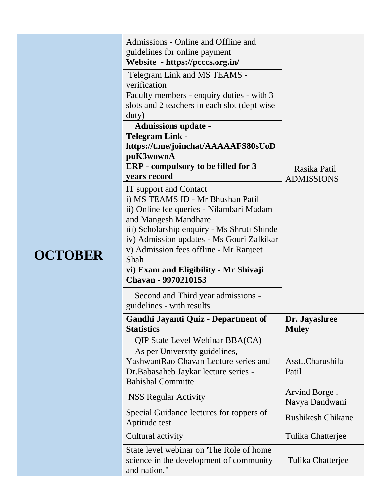| Second and Third year admissions -<br>guidelines - with results | <b>OCTOBER</b> | Admissions - Online and Offline and<br>guidelines for online payment<br>Website - https://pcccs.org.in/<br>Telegram Link and MS TEAMS -<br>verification<br>Faculty members - enquiry duties - with 3<br>slots and 2 teachers in each slot (dept wise<br>duty)<br><b>Admissions update -</b><br><b>Telegram Link -</b><br>https://t.me/joinchat/AAAAAFS80sUoD<br>puK3wownA<br><b>ERP</b> - compulsory to be filled for 3<br>years record<br>IT support and Contact<br>i) MS TEAMS ID - Mr Bhushan Patil<br>ii) Online fee queries - Nilambari Madam<br>and Mangesh Mandhare<br>iii) Scholarship enquiry - Ms Shruti Shinde<br>iv) Admission updates - Ms Gouri Zalkikar<br>v) Admission fees offline - Mr Ranjeet<br>Shah<br>vi) Exam and Eligibility - Mr Shivaji<br>Chavan - 9970210153 | Rasika Patil<br><b>ADMISSIONS</b> |
|-----------------------------------------------------------------|----------------|------------------------------------------------------------------------------------------------------------------------------------------------------------------------------------------------------------------------------------------------------------------------------------------------------------------------------------------------------------------------------------------------------------------------------------------------------------------------------------------------------------------------------------------------------------------------------------------------------------------------------------------------------------------------------------------------------------------------------------------------------------------------------------------|-----------------------------------|
|                                                                 |                |                                                                                                                                                                                                                                                                                                                                                                                                                                                                                                                                                                                                                                                                                                                                                                                          |                                   |
|                                                                 |                | QIP State Level Webinar BBA(CA)<br>As per University guidelines,<br>YashwantRao Chavan Lecture series and<br>Dr.Babasaheb Jaykar lecture series -<br><b>Bahishal Committe</b>                                                                                                                                                                                                                                                                                                                                                                                                                                                                                                                                                                                                            | AsstCharushila<br>Patil           |
|                                                                 |                | <b>NSS Regular Activity</b>                                                                                                                                                                                                                                                                                                                                                                                                                                                                                                                                                                                                                                                                                                                                                              | Arvind Borge.                     |
| Navya Dandwani                                                  |                | Special Guidance lectures for toppers of<br>Aptitude test                                                                                                                                                                                                                                                                                                                                                                                                                                                                                                                                                                                                                                                                                                                                | <b>Rushikesh Chikane</b>          |
|                                                                 |                | Cultural activity                                                                                                                                                                                                                                                                                                                                                                                                                                                                                                                                                                                                                                                                                                                                                                        | Tulika Chatterjee                 |
|                                                                 |                | State level webinar on 'The Role of home<br>science in the development of community<br>and nation."                                                                                                                                                                                                                                                                                                                                                                                                                                                                                                                                                                                                                                                                                      | Tulika Chatterjee                 |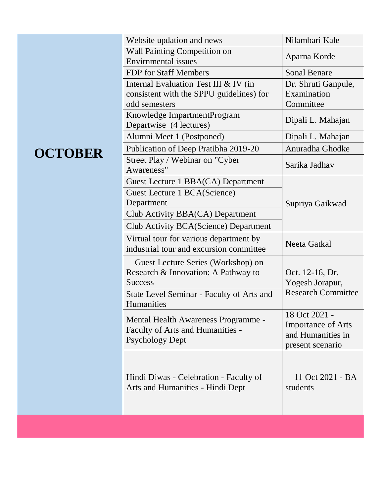|                | Website updation and news                                                                                | Nilambari Kale                                                                      |
|----------------|----------------------------------------------------------------------------------------------------------|-------------------------------------------------------------------------------------|
|                | <b>Wall Painting Competition on</b><br><b>Envirnmental</b> issues                                        | Aparna Korde                                                                        |
|                | FDP for Staff Members                                                                                    | <b>Sonal Benare</b>                                                                 |
|                | Internal Evaluation Test III & IV (in<br>consistent with the SPPU guidelines) for<br>odd semesters       | Dr. Shruti Ganpule,<br>Examination<br>Committee                                     |
|                | Knowledge ImpartmentProgram<br>Departwise (4 lectures)                                                   | Dipali L. Mahajan                                                                   |
|                | Alumni Meet 1 (Postponed)                                                                                | Dipali L. Mahajan                                                                   |
| <b>OCTOBER</b> | Publication of Deep Pratibha 2019-20                                                                     | Anuradha Ghodke                                                                     |
|                | Street Play / Webinar on "Cyber<br>Awareness"                                                            | Sarika Jadhav                                                                       |
|                | Guest Lecture 1 BBA(CA) Department<br>Guest Lecture 1 BCA(Science)<br>Department                         | Supriya Gaikwad                                                                     |
|                | Club Activity BBA(CA) Department<br>Club Activity BCA(Science) Department                                |                                                                                     |
|                | Virtual tour for various department by<br>industrial tour and excursion committee                        | Neeta Gatkal                                                                        |
|                | Guest Lecture Series (Workshop) on<br>Research & Innovation: A Pathway to<br><b>Success</b>              | Oct. 12-16, Dr.<br>Yogesh Jorapur,                                                  |
|                | State Level Seminar - Faculty of Arts and<br><b>Humanities</b>                                           | <b>Research Committee</b>                                                           |
|                | <b>Mental Health Awareness Programme -</b><br>Faculty of Arts and Humanities -<br><b>Psychology Dept</b> | 18 Oct 2021 -<br><b>Importance of Arts</b><br>and Humanities in<br>present scenario |
|                | Hindi Diwas - Celebration - Faculty of<br>Arts and Humanities - Hindi Dept                               | 11 Oct 2021 - BA<br>students                                                        |
|                |                                                                                                          |                                                                                     |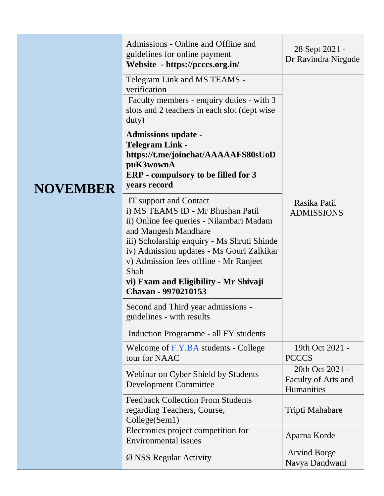|                 | Admissions - Online and Offline and<br>guidelines for online payment<br>Website - https://pcccs.org.in/                                                                                                                                                                                                                                              | 28 Sept 2021 -<br>Dr Ravindra Nirgude                |
|-----------------|------------------------------------------------------------------------------------------------------------------------------------------------------------------------------------------------------------------------------------------------------------------------------------------------------------------------------------------------------|------------------------------------------------------|
|                 | Telegram Link and MS TEAMS -<br>verification<br>Faculty members - enquiry duties - with 3<br>slots and 2 teachers in each slot (dept wise<br>$_{\text{duty}}$                                                                                                                                                                                        |                                                      |
| <b>NOVEMBER</b> | <b>Admissions update -</b><br><b>Telegram Link -</b><br>https://t.me/joinchat/AAAAAFS80sUoD<br>puK3wownA<br><b>ERP</b> - compulsory to be filled for 3<br>years record                                                                                                                                                                               |                                                      |
|                 | IT support and Contact<br>i) MS TEAMS ID - Mr Bhushan Patil<br>ii) Online fee queries - Nilambari Madam<br>and Mangesh Mandhare<br>iii) Scholarship enquiry - Ms Shruti Shinde<br>iv) Admission updates - Ms Gouri Zalkikar<br>v) Admission fees offline - Mr Ranjeet<br>Shah<br>vi) Exam and Eligibility - Mr Shivaji<br><b>Chavan - 9970210153</b> | Rasika Patil<br><b>ADMISSIONS</b>                    |
|                 | Second and Third year admissions -<br>guidelines - with results                                                                                                                                                                                                                                                                                      |                                                      |
|                 | <b>Induction Programme - all FY students</b>                                                                                                                                                                                                                                                                                                         |                                                      |
|                 | Welcome of $\underline{F.Y.BA}$ students - College<br>tour for NAAC                                                                                                                                                                                                                                                                                  | 19th Oct 2021 -<br><b>PCCCS</b>                      |
|                 | Webinar on Cyber Shield by Students<br><b>Development Committee</b>                                                                                                                                                                                                                                                                                  | 20th Oct 2021 -<br>Faculty of Arts and<br>Humanities |
|                 | <b>Feedback Collection From Students</b><br>regarding Teachers, Course,<br>College(Sem1)                                                                                                                                                                                                                                                             | Tripti Mahabare                                      |
|                 | Electronics project competition for<br><b>Environmental issues</b>                                                                                                                                                                                                                                                                                   | Aparna Korde                                         |
|                 | Ø NSS Regular Activity                                                                                                                                                                                                                                                                                                                               | <b>Arvind Borge</b><br>Navya Dandwani                |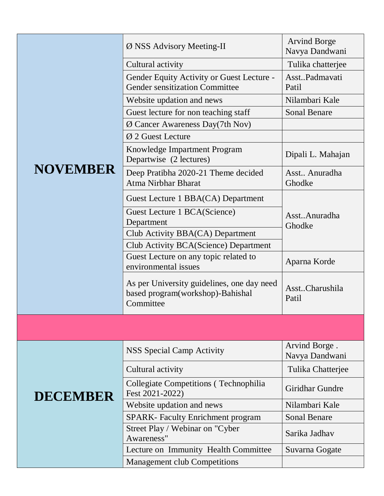|                 | Ø NSS Advisory Meeting-II                                                                   | <b>Arvind Borge</b><br>Navya Dandwani |
|-----------------|---------------------------------------------------------------------------------------------|---------------------------------------|
|                 | Cultural activity                                                                           | Tulika chatterjee                     |
|                 | Gender Equity Activity or Guest Lecture -<br>Gender sensitization Committee                 | AsstPadmavati<br>Patil                |
|                 | Website updation and news                                                                   | Nilambari Kale                        |
|                 | Guest lecture for non teaching staff                                                        | <b>Sonal Benare</b>                   |
|                 | $\emptyset$ Cancer Awareness Day(7th Nov)                                                   |                                       |
|                 | $\varnothing$ 2 Guest Lecture                                                               |                                       |
|                 | Knowledge Impartment Program<br>Departwise (2 lectures)                                     | Dipali L. Mahajan                     |
| <b>NOVEMBER</b> | Deep Pratibha 2020-21 Theme decided<br>Atma Nirbhar Bharat                                  | Asst Anuradha<br>Ghodke               |
|                 | Guest Lecture 1 BBA(CA) Department                                                          |                                       |
|                 | Guest Lecture 1 BCA(Science)<br>Department                                                  | AsstAnuradha<br>Ghodke                |
|                 | Club Activity BBA(CA) Department                                                            |                                       |
|                 | <b>Club Activity BCA(Science) Department</b>                                                |                                       |
|                 | Guest Lecture on any topic related to<br>environmental issues                               | Aparna Korde                          |
|                 | As per University guidelines, one day need<br>based program(workshop)-Bahishal<br>Committee | AsstCharushila<br>Patil               |
|                 |                                                                                             |                                       |
|                 | <b>NSS</b> Special Camp Activity                                                            | Arvind Borge.<br>Navya Dandwani       |
|                 | Cultural activity                                                                           | Tulika Chatterjee                     |
| <b>DECEMBER</b> | Collegiate Competitions (Technophilia<br>Fest 2021-2022)                                    | Giridhar Gundre                       |
|                 | Website updation and news                                                                   | Nilambari Kale                        |
|                 | <b>SPARK-</b> Faculty Enrichment program                                                    | <b>Sonal Benare</b>                   |
|                 | Street Play / Webinar on "Cyber<br>Awareness"                                               | Sarika Jadhav                         |
|                 | Lecture on Immunity Health Committee                                                        | Suvarna Gogate                        |
|                 | <b>Management club Competitions</b>                                                         |                                       |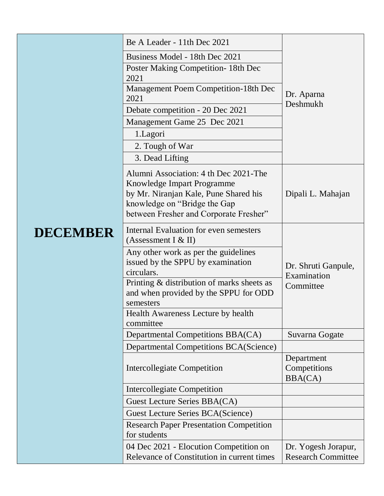|                 | Be A Leader - 11th Dec 2021                                                                                                                                                             |                                                  |
|-----------------|-----------------------------------------------------------------------------------------------------------------------------------------------------------------------------------------|--------------------------------------------------|
|                 | Business Model - 18th Dec 2021                                                                                                                                                          |                                                  |
|                 | <b>Poster Making Competition-18th Dec</b><br>2021                                                                                                                                       |                                                  |
|                 | Management Poem Competition-18th Dec<br>2021                                                                                                                                            | Dr. Aparna                                       |
|                 | Debate competition - 20 Dec 2021                                                                                                                                                        | Deshmukh                                         |
|                 | Management Game 25 Dec 2021                                                                                                                                                             |                                                  |
|                 | 1.Lagori                                                                                                                                                                                |                                                  |
|                 | 2. Tough of War                                                                                                                                                                         |                                                  |
|                 | 3. Dead Lifting                                                                                                                                                                         |                                                  |
|                 | Alumni Association: 4 th Dec 2021-The<br>Knowledge Impart Programme<br>by Mr. Niranjan Kale, Pune Shared his<br>knowledge on "Bridge the Gap"<br>between Fresher and Corporate Fresher" | Dipali L. Mahajan                                |
| <b>DECEMBER</b> | <b>Internal Evaluation for even semesters</b><br>(Assessment I & II)                                                                                                                    |                                                  |
|                 | Any other work as per the guidelines<br>issued by the SPPU by examination<br>circulars.                                                                                                 | Dr. Shruti Ganpule,<br>Examination               |
|                 | Printing & distribution of marks sheets as<br>and when provided by the SPPU for ODD<br>semesters                                                                                        | Committee                                        |
|                 | Health Awareness Lecture by health<br>committee                                                                                                                                         |                                                  |
|                 | Departmental Competitions BBA(CA)                                                                                                                                                       | Suvarna Gogate                                   |
|                 | Departmental Competitions BCA(Science)                                                                                                                                                  |                                                  |
|                 | <b>Intercollegiate Competition</b>                                                                                                                                                      | Department<br>Competitions<br><b>BBA(CA)</b>     |
|                 | <b>Intercollegiate Competition</b>                                                                                                                                                      |                                                  |
|                 | Guest Lecture Series BBA(CA)                                                                                                                                                            |                                                  |
|                 | <b>Guest Lecture Series BCA(Science)</b>                                                                                                                                                |                                                  |
|                 | <b>Research Paper Presentation Competition</b><br>for students                                                                                                                          |                                                  |
|                 | 04 Dec 2021 - Elocution Competition on<br>Relevance of Constitution in current times                                                                                                    | Dr. Yogesh Jorapur,<br><b>Research Committee</b> |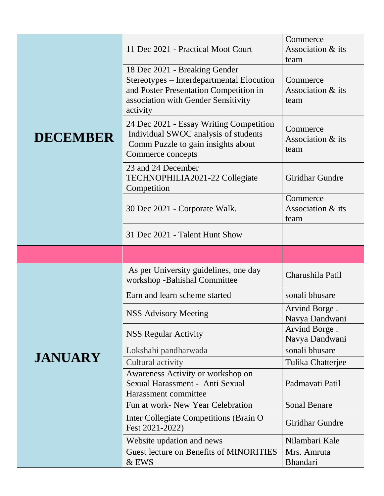|                 | 11 Dec 2021 - Practical Moot Court<br>18 Dec 2021 - Breaking Gender<br>Stereotypes - Interdepartmental Elocution                           | Commerce<br>Association & its<br>team<br>Commerce |
|-----------------|--------------------------------------------------------------------------------------------------------------------------------------------|---------------------------------------------------|
|                 | and Poster Presentation Competition in<br>association with Gender Sensitivity<br>activity                                                  | Association & its<br>team                         |
| <b>DECEMBER</b> | 24 Dec 2021 - Essay Writing Competition<br>Individual SWOC analysis of students<br>Comm Puzzle to gain insights about<br>Commerce concepts | Commerce<br>Association & its<br>team             |
|                 | 23 and 24 December<br>TECHNOPHILIA2021-22 Collegiate<br>Competition                                                                        | Giridhar Gundre                                   |
|                 | 30 Dec 2021 - Corporate Walk.                                                                                                              | Commerce<br>Association & its<br>team             |
|                 | 31 Dec 2021 - Talent Hunt Show                                                                                                             |                                                   |
|                 |                                                                                                                                            |                                                   |
|                 | As per University guidelines, one day<br>workshop - Bahishal Committee                                                                     | Charushila Patil                                  |
|                 | Earn and learn scheme started                                                                                                              | sonali bhusare                                    |
|                 | <b>NSS Advisory Meeting</b>                                                                                                                | Arvind Borge.<br>Navya Dandwani                   |
|                 | <b>NSS Regular Activity</b>                                                                                                                | Arvind Borge.<br>Navya Dandwani                   |
| <b>JANUARY</b>  |                                                                                                                                            |                                                   |
|                 | Lokshahi pandharwada                                                                                                                       | sonali bhusare                                    |
|                 | Cultural activity                                                                                                                          | Tulika Chatterjee                                 |
|                 | Awareness Activity or workshop on<br>Sexual Harassment - Anti Sexual<br>Harassment committee                                               | Padmavati Patil                                   |
|                 | Fun at work- New Year Celebration                                                                                                          | <b>Sonal Benare</b>                               |
|                 | Inter Collegiate Competitions (Brain O<br>Fest 2021-2022)                                                                                  | Giridhar Gundre                                   |
|                 | Website updation and news                                                                                                                  | Nilambari Kale                                    |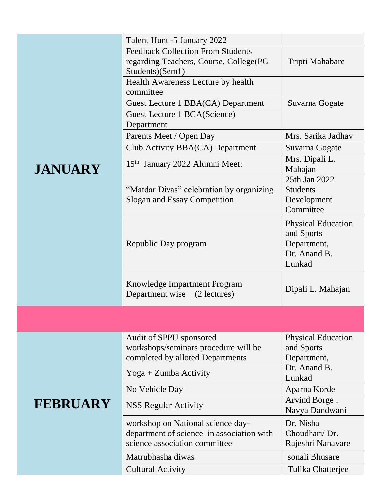|                | Talent Hunt -5 January 2022                                                                                     |                                                                                  |
|----------------|-----------------------------------------------------------------------------------------------------------------|----------------------------------------------------------------------------------|
|                | <b>Feedback Collection From Students</b><br>regarding Teachers, Course, College(PG<br>Students)(Sem1)           | Tripti Mahabare                                                                  |
|                | Health Awareness Lecture by health<br>committee                                                                 |                                                                                  |
|                | Guest Lecture 1 BBA(CA) Department                                                                              | Suvarna Gogate                                                                   |
|                | Guest Lecture 1 BCA(Science)                                                                                    |                                                                                  |
|                | Department                                                                                                      |                                                                                  |
|                | Parents Meet / Open Day                                                                                         | Mrs. Sarika Jadhav                                                               |
|                | Club Activity BBA(CA) Department                                                                                | Suvarna Gogate                                                                   |
| <b>JANUARY</b> | 15 <sup>th</sup> January 2022 Alumni Meet:                                                                      | Mrs. Dipali L.<br>Mahajan                                                        |
|                | "Matdar Divas" celebration by organizing<br><b>Slogan and Essay Competition</b>                                 | 25th Jan 2022<br><b>Students</b><br>Development<br>Committee                     |
|                | Republic Day program                                                                                            | <b>Physical Education</b><br>and Sports<br>Department,<br>Dr. Anand B.<br>Lunkad |
|                | Knowledge Impartment Program<br>Department wise (2 lectures)                                                    | Dipali L. Mahajan                                                                |
|                |                                                                                                                 |                                                                                  |
| FEBRUARY       | Audit of SPPU sponsored<br>workshops/seminars procedure will be<br>completed by alloted Departments             | <b>Physical Education</b><br>and Sports<br>Department,                           |
|                | Yoga + Zumba Activity                                                                                           | Dr. Anand B.<br>Lunkad                                                           |
|                | No Vehicle Day                                                                                                  | Aparna Korde                                                                     |
|                | <b>NSS Regular Activity</b>                                                                                     | Arvind Borge.<br>Navya Dandwani                                                  |
|                | workshop on National science day-<br>department of science in association with<br>science association committee | Dr. Nisha<br>Choudhari/Dr.<br>Rajeshri Nanavare                                  |
|                | Matrubhasha diwas                                                                                               | sonali Bhusare                                                                   |
|                | <b>Cultural Activity</b>                                                                                        | Tulika Chatterjee                                                                |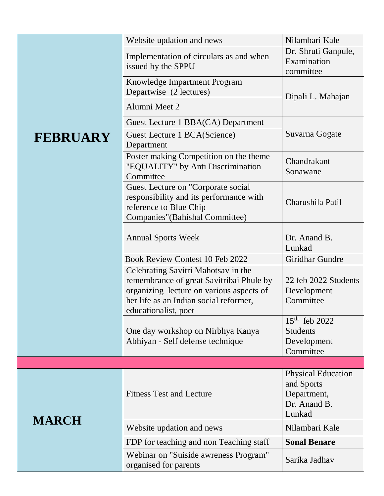|                 | Website updation and news                                                                                                                                                                     | Nilambari Kale                                                                   |
|-----------------|-----------------------------------------------------------------------------------------------------------------------------------------------------------------------------------------------|----------------------------------------------------------------------------------|
| <b>FEBRUARY</b> | Implementation of circulars as and when<br>issued by the SPPU                                                                                                                                 | Dr. Shruti Ganpule,<br>Examination<br>committee                                  |
|                 | Knowledge Impartment Program<br>Departwise (2 lectures)                                                                                                                                       | Dipali L. Mahajan                                                                |
|                 | Alumni Meet 2                                                                                                                                                                                 |                                                                                  |
|                 | Guest Lecture 1 BBA(CA) Department                                                                                                                                                            |                                                                                  |
|                 | Guest Lecture 1 BCA(Science)<br>Department                                                                                                                                                    | Suvarna Gogate                                                                   |
|                 | Poster making Competition on the theme<br>"EQUALITY" by Anti Discrimination<br>Committee                                                                                                      | Chandrakant<br>Sonawane                                                          |
|                 | Guest Lecture on "Corporate social<br>responsibility and its performance with<br>reference to Blue Chip<br>Companies"(Bahishal Committee)                                                     | Charushila Patil                                                                 |
|                 | <b>Annual Sports Week</b>                                                                                                                                                                     | Dr. Anand B.<br>Lunkad                                                           |
|                 | <b>Book Review Contest 10 Feb 2022</b>                                                                                                                                                        | Giridhar Gundre                                                                  |
|                 | Celebrating Savitri Mahotsav in the<br>remembrance of great Savitribai Phule by<br>organizing lecture on various aspects of<br>her life as an Indian social reformer,<br>educationalist, poet | 22 feb 2022 Students<br>Development<br>Committee                                 |
|                 | One day workshop on Nirbhya Kanya<br>Abhiyan - Self defense technique                                                                                                                         | 15 <sup>th</sup> feb 2022<br><b>Students</b><br>Development<br>Committee         |
|                 |                                                                                                                                                                                               |                                                                                  |
| <b>MARCH</b>    | <b>Fitness Test and Lecture</b>                                                                                                                                                               | <b>Physical Education</b><br>and Sports<br>Department,<br>Dr. Anand B.<br>Lunkad |
|                 | Website updation and news                                                                                                                                                                     | Nilambari Kale                                                                   |
|                 | FDP for teaching and non Teaching staff                                                                                                                                                       | <b>Sonal Benare</b>                                                              |
|                 | Webinar on "Suiside awreness Program"<br>organised for parents                                                                                                                                | Sarika Jadhav                                                                    |